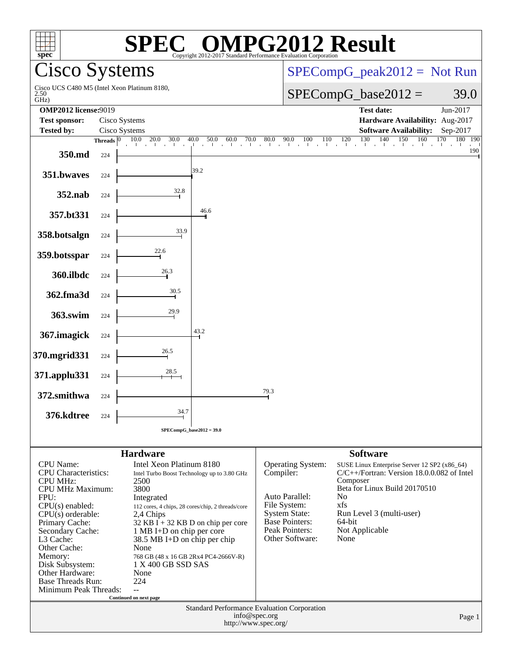| <b>Cisco Systems</b><br>$SPECompG_peak2012 = Not Run$<br>Cisco UCS C480 M5 (Intel Xeon Platinum 8180,<br>$SPECompG_base2012 =$<br>39.0<br>2.50<br>GHz)<br><b>OMP2012 license:9019</b><br><b>Test date:</b><br>Jun-2017<br>Hardware Availability: Aug-2017<br><b>Test sponsor:</b><br>Cisco Systems<br><b>Tested by:</b><br><b>Software Availability:</b><br>Cisco Systems<br>Sep-2017<br>$\frac{120}{1}$ $\frac{130}{1}$<br>140<br>160<br>170<br>150<br>10.0<br>20.0<br>30.0<br>40.0<br>50.0<br>60.0<br>70.0<br>80.0<br>90.0<br>110<br>Threads $ 0 $<br>100<br>$\mathbf{1}^{\top}$ and<br>350.md<br>224<br>39.2<br>351.bwaves<br>224<br>32.8<br>352.nab<br>224<br>46.6<br>357.bt331<br>224<br>33.9<br>358.botsalgn<br>224<br>22.6<br>359.botsspar<br>224<br>26.3<br>360.ilbdc<br>224<br>30.5<br>362.fma3d<br>224<br>29.9<br>363.swim<br>224<br>43.2<br>367.imagick<br>224<br>26.5<br>370.mgrid331<br>224<br>28.5<br>371.applu331<br>224<br>79.3<br>372.smithwa<br>224<br>34.7<br>376.kdtree<br>224<br>$SPECompG_base2012 = 39.0$<br><b>Hardware</b><br><b>Software</b><br><b>CPU</b> Name:<br>Intel Xeon Platinum 8180<br>Operating System:<br>SUSE Linux Enterprise Server 12 SP2 (x86_64)<br><b>CPU</b> Characteristics:<br>Compiler:<br>C/C++/Fortran: Version 18.0.0.082 of Intel<br>Intel Turbo Boost Technology up to 3.80 GHz<br><b>CPU MHz:</b><br>Composer<br>2500<br>Beta for Linux Build 20170510<br>3800<br><b>CPU MHz Maximum:</b><br>Auto Parallel:<br>N <sub>0</sub><br>FPU:<br>Integrated<br>xfs<br>File System:<br>$CPU(s)$ enabled:<br>112 cores, 4 chips, 28 cores/chip, 2 threads/core<br><b>System State:</b><br>Run Level 3 (multi-user)<br>$CPU(s)$ orderable:<br>2,4 Chips<br>Base Pointers:<br>64-bit<br>Primary Cache:<br>$32$ KB I + 32 KB D on chip per core<br>Peak Pointers:<br>Not Applicable<br>1 MB I+D on chip per core<br>Secondary Cache:<br>Other Software:<br>None<br>L3 Cache:<br>38.5 MB I+D on chip per chip<br>Other Cache:<br>None<br>Memory:<br>768 GB (48 x 16 GB 2Rx4 PC4-2666V-R)<br>Disk Subsystem:<br>1 X 400 GB SSD SAS<br>Other Hardware:<br>None<br><b>Base Threads Run:</b><br>224<br>Minimum Peak Threads:<br>$\overline{a}$<br>Continued on next page<br>Standard Performance Evaluation Corporation<br>info@spec.org<br>Page 1<br>http://www.spec.org/ | $spec^*$ |  |  | $^{\circledR}$ |  |  | Copyright 2012-2017 Standard Performance Evaluation Corporation | <b>PG2012 Result</b> |  |         |
|----------------------------------------------------------------------------------------------------------------------------------------------------------------------------------------------------------------------------------------------------------------------------------------------------------------------------------------------------------------------------------------------------------------------------------------------------------------------------------------------------------------------------------------------------------------------------------------------------------------------------------------------------------------------------------------------------------------------------------------------------------------------------------------------------------------------------------------------------------------------------------------------------------------------------------------------------------------------------------------------------------------------------------------------------------------------------------------------------------------------------------------------------------------------------------------------------------------------------------------------------------------------------------------------------------------------------------------------------------------------------------------------------------------------------------------------------------------------------------------------------------------------------------------------------------------------------------------------------------------------------------------------------------------------------------------------------------------------------------------------------------------------------------------------------------------------------------------------------------------------------------------------------------------------------------------------------------------------------------------------------------------------------------------------------------------------------------------------------------------------------------------------------------------------------------------------------------------------------------------------------------------------------------------------------------------|----------|--|--|----------------|--|--|-----------------------------------------------------------------|----------------------|--|---------|
|                                                                                                                                                                                                                                                                                                                                                                                                                                                                                                                                                                                                                                                                                                                                                                                                                                                                                                                                                                                                                                                                                                                                                                                                                                                                                                                                                                                                                                                                                                                                                                                                                                                                                                                                                                                                                                                                                                                                                                                                                                                                                                                                                                                                                                                                                                                |          |  |  |                |  |  |                                                                 |                      |  |         |
|                                                                                                                                                                                                                                                                                                                                                                                                                                                                                                                                                                                                                                                                                                                                                                                                                                                                                                                                                                                                                                                                                                                                                                                                                                                                                                                                                                                                                                                                                                                                                                                                                                                                                                                                                                                                                                                                                                                                                                                                                                                                                                                                                                                                                                                                                                                |          |  |  |                |  |  |                                                                 |                      |  |         |
|                                                                                                                                                                                                                                                                                                                                                                                                                                                                                                                                                                                                                                                                                                                                                                                                                                                                                                                                                                                                                                                                                                                                                                                                                                                                                                                                                                                                                                                                                                                                                                                                                                                                                                                                                                                                                                                                                                                                                                                                                                                                                                                                                                                                                                                                                                                |          |  |  |                |  |  |                                                                 |                      |  |         |
|                                                                                                                                                                                                                                                                                                                                                                                                                                                                                                                                                                                                                                                                                                                                                                                                                                                                                                                                                                                                                                                                                                                                                                                                                                                                                                                                                                                                                                                                                                                                                                                                                                                                                                                                                                                                                                                                                                                                                                                                                                                                                                                                                                                                                                                                                                                |          |  |  |                |  |  |                                                                 |                      |  | 180 190 |
|                                                                                                                                                                                                                                                                                                                                                                                                                                                                                                                                                                                                                                                                                                                                                                                                                                                                                                                                                                                                                                                                                                                                                                                                                                                                                                                                                                                                                                                                                                                                                                                                                                                                                                                                                                                                                                                                                                                                                                                                                                                                                                                                                                                                                                                                                                                |          |  |  |                |  |  |                                                                 |                      |  | 190     |
|                                                                                                                                                                                                                                                                                                                                                                                                                                                                                                                                                                                                                                                                                                                                                                                                                                                                                                                                                                                                                                                                                                                                                                                                                                                                                                                                                                                                                                                                                                                                                                                                                                                                                                                                                                                                                                                                                                                                                                                                                                                                                                                                                                                                                                                                                                                |          |  |  |                |  |  |                                                                 |                      |  |         |
|                                                                                                                                                                                                                                                                                                                                                                                                                                                                                                                                                                                                                                                                                                                                                                                                                                                                                                                                                                                                                                                                                                                                                                                                                                                                                                                                                                                                                                                                                                                                                                                                                                                                                                                                                                                                                                                                                                                                                                                                                                                                                                                                                                                                                                                                                                                |          |  |  |                |  |  |                                                                 |                      |  |         |
|                                                                                                                                                                                                                                                                                                                                                                                                                                                                                                                                                                                                                                                                                                                                                                                                                                                                                                                                                                                                                                                                                                                                                                                                                                                                                                                                                                                                                                                                                                                                                                                                                                                                                                                                                                                                                                                                                                                                                                                                                                                                                                                                                                                                                                                                                                                |          |  |  |                |  |  |                                                                 |                      |  |         |
|                                                                                                                                                                                                                                                                                                                                                                                                                                                                                                                                                                                                                                                                                                                                                                                                                                                                                                                                                                                                                                                                                                                                                                                                                                                                                                                                                                                                                                                                                                                                                                                                                                                                                                                                                                                                                                                                                                                                                                                                                                                                                                                                                                                                                                                                                                                |          |  |  |                |  |  |                                                                 |                      |  |         |
|                                                                                                                                                                                                                                                                                                                                                                                                                                                                                                                                                                                                                                                                                                                                                                                                                                                                                                                                                                                                                                                                                                                                                                                                                                                                                                                                                                                                                                                                                                                                                                                                                                                                                                                                                                                                                                                                                                                                                                                                                                                                                                                                                                                                                                                                                                                |          |  |  |                |  |  |                                                                 |                      |  |         |
|                                                                                                                                                                                                                                                                                                                                                                                                                                                                                                                                                                                                                                                                                                                                                                                                                                                                                                                                                                                                                                                                                                                                                                                                                                                                                                                                                                                                                                                                                                                                                                                                                                                                                                                                                                                                                                                                                                                                                                                                                                                                                                                                                                                                                                                                                                                |          |  |  |                |  |  |                                                                 |                      |  |         |
|                                                                                                                                                                                                                                                                                                                                                                                                                                                                                                                                                                                                                                                                                                                                                                                                                                                                                                                                                                                                                                                                                                                                                                                                                                                                                                                                                                                                                                                                                                                                                                                                                                                                                                                                                                                                                                                                                                                                                                                                                                                                                                                                                                                                                                                                                                                |          |  |  |                |  |  |                                                                 |                      |  |         |
|                                                                                                                                                                                                                                                                                                                                                                                                                                                                                                                                                                                                                                                                                                                                                                                                                                                                                                                                                                                                                                                                                                                                                                                                                                                                                                                                                                                                                                                                                                                                                                                                                                                                                                                                                                                                                                                                                                                                                                                                                                                                                                                                                                                                                                                                                                                |          |  |  |                |  |  |                                                                 |                      |  |         |
|                                                                                                                                                                                                                                                                                                                                                                                                                                                                                                                                                                                                                                                                                                                                                                                                                                                                                                                                                                                                                                                                                                                                                                                                                                                                                                                                                                                                                                                                                                                                                                                                                                                                                                                                                                                                                                                                                                                                                                                                                                                                                                                                                                                                                                                                                                                |          |  |  |                |  |  |                                                                 |                      |  |         |
|                                                                                                                                                                                                                                                                                                                                                                                                                                                                                                                                                                                                                                                                                                                                                                                                                                                                                                                                                                                                                                                                                                                                                                                                                                                                                                                                                                                                                                                                                                                                                                                                                                                                                                                                                                                                                                                                                                                                                                                                                                                                                                                                                                                                                                                                                                                |          |  |  |                |  |  |                                                                 |                      |  |         |
|                                                                                                                                                                                                                                                                                                                                                                                                                                                                                                                                                                                                                                                                                                                                                                                                                                                                                                                                                                                                                                                                                                                                                                                                                                                                                                                                                                                                                                                                                                                                                                                                                                                                                                                                                                                                                                                                                                                                                                                                                                                                                                                                                                                                                                                                                                                |          |  |  |                |  |  |                                                                 |                      |  |         |
|                                                                                                                                                                                                                                                                                                                                                                                                                                                                                                                                                                                                                                                                                                                                                                                                                                                                                                                                                                                                                                                                                                                                                                                                                                                                                                                                                                                                                                                                                                                                                                                                                                                                                                                                                                                                                                                                                                                                                                                                                                                                                                                                                                                                                                                                                                                |          |  |  |                |  |  |                                                                 |                      |  |         |
|                                                                                                                                                                                                                                                                                                                                                                                                                                                                                                                                                                                                                                                                                                                                                                                                                                                                                                                                                                                                                                                                                                                                                                                                                                                                                                                                                                                                                                                                                                                                                                                                                                                                                                                                                                                                                                                                                                                                                                                                                                                                                                                                                                                                                                                                                                                |          |  |  |                |  |  |                                                                 |                      |  |         |
|                                                                                                                                                                                                                                                                                                                                                                                                                                                                                                                                                                                                                                                                                                                                                                                                                                                                                                                                                                                                                                                                                                                                                                                                                                                                                                                                                                                                                                                                                                                                                                                                                                                                                                                                                                                                                                                                                                                                                                                                                                                                                                                                                                                                                                                                                                                |          |  |  |                |  |  |                                                                 |                      |  |         |
|                                                                                                                                                                                                                                                                                                                                                                                                                                                                                                                                                                                                                                                                                                                                                                                                                                                                                                                                                                                                                                                                                                                                                                                                                                                                                                                                                                                                                                                                                                                                                                                                                                                                                                                                                                                                                                                                                                                                                                                                                                                                                                                                                                                                                                                                                                                |          |  |  |                |  |  |                                                                 |                      |  |         |
|                                                                                                                                                                                                                                                                                                                                                                                                                                                                                                                                                                                                                                                                                                                                                                                                                                                                                                                                                                                                                                                                                                                                                                                                                                                                                                                                                                                                                                                                                                                                                                                                                                                                                                                                                                                                                                                                                                                                                                                                                                                                                                                                                                                                                                                                                                                |          |  |  |                |  |  |                                                                 |                      |  |         |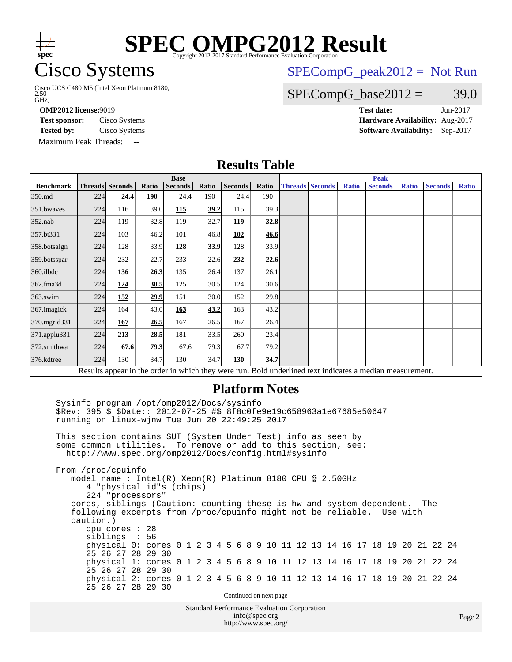# **[SPEC OMPG2012 Result](http://www.spec.org/auto/omp2012/Docs/result-fields.html#SPECOMPG2012Result)**

# Cisco Systems

Cisco UCS C480 M5 (Intel Xeon Platinum 8180,<br>2.50<br>GHz)

**[Tested by:](http://www.spec.org/auto/omp2012/Docs/result-fields.html#Testedby)** Cisco Systems **[Software Availability:](http://www.spec.org/auto/omp2012/Docs/result-fields.html#SoftwareAvailability)** Sep-2017

[Maximum Peak Threads:](http://www.spec.org/auto/omp2012/Docs/result-fields.html#MaximumPeakThreads) --

[SPECompG\\_peak2012 =](http://www.spec.org/auto/omp2012/Docs/result-fields.html#SPECompGpeak2012) Not Run

### $SPECompG_base2012 = 39.0$  $SPECompG_base2012 = 39.0$

**[OMP2012 license:](http://www.spec.org/auto/omp2012/Docs/result-fields.html#OMP2012license)**9019 **[Test date:](http://www.spec.org/auto/omp2012/Docs/result-fields.html#Testdate)** Jun-2017 **[Test sponsor:](http://www.spec.org/auto/omp2012/Docs/result-fields.html#Testsponsor)** Cisco Systems **[Hardware Availability:](http://www.spec.org/auto/omp2012/Docs/result-fields.html#HardwareAvailability)** Aug-2017

| <b>Results Table</b>                                                                                                                                                                                                                                                                                                                                                                                                                                                                                                                                                                                                                                                                                                                                                                                                                                                                                                                                                            |                 |      |       |                |       |                                                                     |               |                        |       |                                                                                                          |              |                |              |
|---------------------------------------------------------------------------------------------------------------------------------------------------------------------------------------------------------------------------------------------------------------------------------------------------------------------------------------------------------------------------------------------------------------------------------------------------------------------------------------------------------------------------------------------------------------------------------------------------------------------------------------------------------------------------------------------------------------------------------------------------------------------------------------------------------------------------------------------------------------------------------------------------------------------------------------------------------------------------------|-----------------|------|-------|----------------|-------|---------------------------------------------------------------------|---------------|------------------------|-------|----------------------------------------------------------------------------------------------------------|--------------|----------------|--------------|
|                                                                                                                                                                                                                                                                                                                                                                                                                                                                                                                                                                                                                                                                                                                                                                                                                                                                                                                                                                                 |                 |      |       | <b>Base</b>    |       |                                                                     |               |                        |       | <b>Peak</b>                                                                                              |              |                |              |
| <b>Benchmark</b>                                                                                                                                                                                                                                                                                                                                                                                                                                                                                                                                                                                                                                                                                                                                                                                                                                                                                                                                                                | Threads Seconds |      | Ratio | <b>Seconds</b> | Ratio | <b>Seconds</b>                                                      | Ratio         | <b>Threads Seconds</b> | Ratio | <b>Seconds</b>                                                                                           | <b>Ratio</b> | <b>Seconds</b> | <b>Ratio</b> |
| 350.md                                                                                                                                                                                                                                                                                                                                                                                                                                                                                                                                                                                                                                                                                                                                                                                                                                                                                                                                                                          | 224             | 24.4 | 190   | 24.4           | 190   | 24.4                                                                | 190           |                        |       |                                                                                                          |              |                |              |
| 351.bwaves                                                                                                                                                                                                                                                                                                                                                                                                                                                                                                                                                                                                                                                                                                                                                                                                                                                                                                                                                                      | 224             | 116  | 39.0  | 115            | 39.2  | 115                                                                 | 39.3          |                        |       |                                                                                                          |              |                |              |
| $352$ .nab                                                                                                                                                                                                                                                                                                                                                                                                                                                                                                                                                                                                                                                                                                                                                                                                                                                                                                                                                                      | 224             | 119  | 32.8  | 119            | 32.7  | 119                                                                 | 32.8          |                        |       |                                                                                                          |              |                |              |
| 357.bt331                                                                                                                                                                                                                                                                                                                                                                                                                                                                                                                                                                                                                                                                                                                                                                                                                                                                                                                                                                       | 224             | 103  | 46.2  | 101            | 46.8  | 102                                                                 | 46.6          |                        |       |                                                                                                          |              |                |              |
| 358.botsalgn                                                                                                                                                                                                                                                                                                                                                                                                                                                                                                                                                                                                                                                                                                                                                                                                                                                                                                                                                                    | 224             | 128  | 33.9  | 128            | 33.9  | 128                                                                 | 33.9          |                        |       |                                                                                                          |              |                |              |
| 359.botsspar                                                                                                                                                                                                                                                                                                                                                                                                                                                                                                                                                                                                                                                                                                                                                                                                                                                                                                                                                                    | 224             | 232  | 22.7  | 233            | 22.6  | 232                                                                 | 22.6          |                        |       |                                                                                                          |              |                |              |
| 360.ilbdc                                                                                                                                                                                                                                                                                                                                                                                                                                                                                                                                                                                                                                                                                                                                                                                                                                                                                                                                                                       | 224             | 136  | 26.3  | 135            | 26.4  | 137                                                                 | 26.1          |                        |       |                                                                                                          |              |                |              |
| 362.fma3d                                                                                                                                                                                                                                                                                                                                                                                                                                                                                                                                                                                                                                                                                                                                                                                                                                                                                                                                                                       | 224             | 124  | 30.5  | 125            | 30.5  | 124                                                                 | 30.6          |                        |       |                                                                                                          |              |                |              |
| 363.swim                                                                                                                                                                                                                                                                                                                                                                                                                                                                                                                                                                                                                                                                                                                                                                                                                                                                                                                                                                        | 224             | 152  | 29.9  | 151            | 30.0  | 152                                                                 | 29.8          |                        |       |                                                                                                          |              |                |              |
| 367.imagick                                                                                                                                                                                                                                                                                                                                                                                                                                                                                                                                                                                                                                                                                                                                                                                                                                                                                                                                                                     | 224             | 164  | 43.0  | 163            | 43.2  | 163                                                                 | 43.2          |                        |       |                                                                                                          |              |                |              |
| 370.mgrid331                                                                                                                                                                                                                                                                                                                                                                                                                                                                                                                                                                                                                                                                                                                                                                                                                                                                                                                                                                    | 224             | 167  | 26.5  | 167            | 26.5I | 167                                                                 | 26.4          |                        |       |                                                                                                          |              |                |              |
| 371.applu331                                                                                                                                                                                                                                                                                                                                                                                                                                                                                                                                                                                                                                                                                                                                                                                                                                                                                                                                                                    | 224             | 213  | 28.5  | 181            | 33.5  | 260                                                                 | 23.4          |                        |       |                                                                                                          |              |                |              |
| 372.smithwa                                                                                                                                                                                                                                                                                                                                                                                                                                                                                                                                                                                                                                                                                                                                                                                                                                                                                                                                                                     | 224             | 67.6 | 79.3  | 67.6           | 79.3I | 67.7                                                                | 79.2          |                        |       |                                                                                                          |              |                |              |
| 376.kdtree                                                                                                                                                                                                                                                                                                                                                                                                                                                                                                                                                                                                                                                                                                                                                                                                                                                                                                                                                                      | 224             | 130  | 34.7  | 130            | 34.7  | 130                                                                 | 34.7          |                        |       |                                                                                                          |              |                |              |
|                                                                                                                                                                                                                                                                                                                                                                                                                                                                                                                                                                                                                                                                                                                                                                                                                                                                                                                                                                                 |                 |      |       |                |       |                                                                     |               |                        |       | Results appear in the order in which they were run. Bold underlined text indicates a median measurement. |              |                |              |
| \$Rev: 395 \$ \$Date:: 2012-07-25 #\$ 8f8c0fe9e19c658963a1e67685e50647<br>running on linux-wjnw Tue Jun 20 22:49:25 2017<br>This section contains SUT (System Under Test) info as seen by<br>some common utilities.<br>To remove or add to this section, see:<br>http://www.spec.org/omp2012/Docs/config.html#sysinfo<br>From /proc/cpuinfo<br>model name: $Intel(R)$ Xeon $(R)$ Platinum 8180 CPU @ 2.50GHz<br>4 "physical id"s (chips)<br>224 "processors"<br>cores, siblings (Caution: counting these is hw and system dependent.<br>The<br>following excerpts from /proc/cpuinfo might not be reliable. Use with<br>caution.)<br>$cpu$ cores : 28<br>siblings : 56<br>physical 0: cores 0 1 2 3 4 5 6 8 9 10 11 12 13 14 16 17 18 19 20 21 22 24<br>25 26 27 28 29 30<br>physical 1: cores 0 1 2 3 4 5 6 8 9 10 11 12 13 14 16 17 18 19 20 21 22 24<br>25 26 27 28 29 30<br>physical 2: cores 0 1 2 3 4 5 6 8 9 10 11 12 13 14 16 17 18 19 20 21 22 24<br>25 26 27 28 29 30 |                 |      |       |                |       |                                                                     |               |                        |       |                                                                                                          |              |                |              |
| Continued on next page                                                                                                                                                                                                                                                                                                                                                                                                                                                                                                                                                                                                                                                                                                                                                                                                                                                                                                                                                          |                 |      |       |                |       |                                                                     |               |                        |       |                                                                                                          |              |                |              |
|                                                                                                                                                                                                                                                                                                                                                                                                                                                                                                                                                                                                                                                                                                                                                                                                                                                                                                                                                                                 |                 |      |       |                |       | Standard Performance Evaluation Corporation<br>http://www.spec.org/ | info@spec.org |                        |       |                                                                                                          |              |                | Page 2       |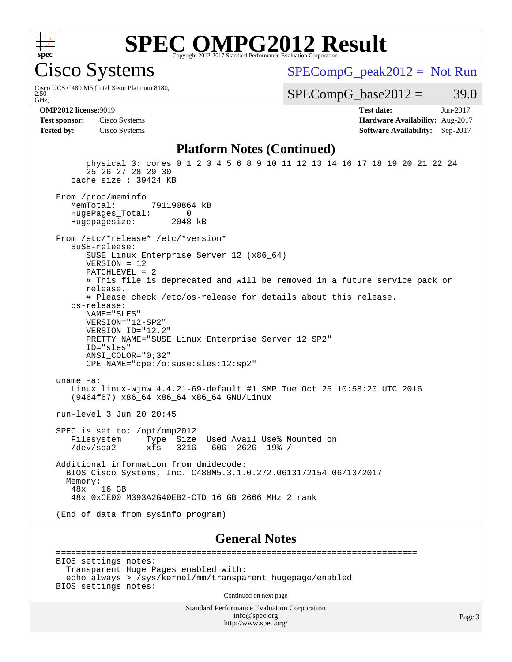

# **[SPEC OMPG2012 Result](http://www.spec.org/auto/omp2012/Docs/result-fields.html#SPECOMPG2012Result)**

Cisco Systems

GHz) 2.50 Cisco UCS C480 M5 (Intel Xeon Platinum 8180,  $SPECompG_peak2012 = Not Run$  $SPECompG_peak2012 = Not Run$ 

 $SPECompG_base2012 = 39.0$  $SPECompG_base2012 = 39.0$ 

**[Test sponsor:](http://www.spec.org/auto/omp2012/Docs/result-fields.html#Testsponsor)** Cisco Systems **[Hardware Availability:](http://www.spec.org/auto/omp2012/Docs/result-fields.html#HardwareAvailability)** Aug-2017 **[Tested by:](http://www.spec.org/auto/omp2012/Docs/result-fields.html#Testedby)** Cisco Systems **[Software Availability:](http://www.spec.org/auto/omp2012/Docs/result-fields.html#SoftwareAvailability)** Sep-2017

**[OMP2012 license:](http://www.spec.org/auto/omp2012/Docs/result-fields.html#OMP2012license)**9019 **[Test date:](http://www.spec.org/auto/omp2012/Docs/result-fields.html#Testdate)** Jun-2017

### **[Platform Notes \(Continued\)](http://www.spec.org/auto/omp2012/Docs/result-fields.html#PlatformNotes)**

 physical 3: cores 0 1 2 3 4 5 6 8 9 10 11 12 13 14 16 17 18 19 20 21 22 24 25 26 27 28 29 30 cache size : 39424 KB From /proc/meminfo<br>MemTotal: 791190864 kB HugePages\_Total: 0<br>Hugepagesize: 2048 kB Hugepagesize: From /etc/\*release\* /etc/\*version\* SuSE-release: SUSE Linux Enterprise Server 12 (x86\_64) VERSION = 12 PATCHLEVEL = 2 # This file is deprecated and will be removed in a future service pack or release. # Please check /etc/os-release for details about this release. os-release: NAME="SLES" VERSION="12-SP2" VERSION\_ID="12.2" PRETTY\_NAME="SUSE Linux Enterprise Server 12 SP2" ID="sles" ANSI\_COLOR="0;32" CPE\_NAME="cpe:/o:suse:sles:12:sp2" uname -a: Linux linux-wjnw 4.4.21-69-default #1 SMP Tue Oct 25 10:58:20 UTC 2016 (9464f67) x86\_64 x86\_64 x86\_64 GNU/Linux run-level 3 Jun 20 20:45 SPEC is set to: /opt/omp2012 Filesystem Type Size Used Avail Use% Mounted on /dev/sda2 xfs 321G 60G 262G 19% / Additional information from dmidecode: BIOS Cisco Systems, Inc. C480M5.3.1.0.272.0613172154 06/13/2017 Memory: 48x 16 GB 48x 0xCE00 M393A2G40EB2-CTD 16 GB 2666 MHz 2 rank (End of data from sysinfo program)

### **[General Notes](http://www.spec.org/auto/omp2012/Docs/result-fields.html#GeneralNotes)**

 ======================================================================== BIOS settings notes: Transparent Huge Pages enabled with: echo always > /sys/kernel/mm/transparent\_hugepage/enabled BIOS settings notes:

Continued on next page

Standard Performance Evaluation Corporation [info@spec.org](mailto:info@spec.org) <http://www.spec.org/>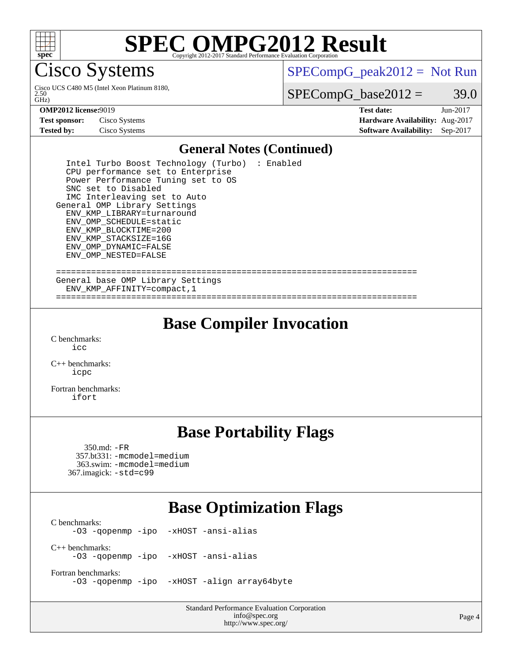

# **[SPEC OMPG2012 Result](http://www.spec.org/auto/omp2012/Docs/result-fields.html#SPECOMPG2012Result)**

**Tisco Systems** 

 $\tilde{GHZ}$ 2.50 Cisco UCS C480 M5 (Intel Xeon Platinum 8180,  $SPECompG_peak2012 = Not Run$  $SPECompG_peak2012 = Not Run$ 

 $SPECompG_base2012 = 39.0$  $SPECompG_base2012 = 39.0$ 

**[Test sponsor:](http://www.spec.org/auto/omp2012/Docs/result-fields.html#Testsponsor)** Cisco Systems **[Hardware Availability:](http://www.spec.org/auto/omp2012/Docs/result-fields.html#HardwareAvailability)** Aug-2017 **[Tested by:](http://www.spec.org/auto/omp2012/Docs/result-fields.html#Testedby)** Cisco Systems **[Software Availability:](http://www.spec.org/auto/omp2012/Docs/result-fields.html#SoftwareAvailability)** Sep-2017

**[OMP2012 license:](http://www.spec.org/auto/omp2012/Docs/result-fields.html#OMP2012license)**9019 **[Test date:](http://www.spec.org/auto/omp2012/Docs/result-fields.html#Testdate)** Jun-2017

### **[General Notes \(Continued\)](http://www.spec.org/auto/omp2012/Docs/result-fields.html#GeneralNotes)**

 Intel Turbo Boost Technology (Turbo) : Enabled CPU performance set to Enterprise Power Performance Tuning set to OS SNC set to Disabled IMC Interleaving set to Auto General OMP Library Settings ENV\_KMP\_LIBRARY=turnaround ENV\_OMP\_SCHEDULE=static ENV\_KMP\_BLOCKTIME=200 ENV\_KMP\_STACKSIZE=16G ENV\_OMP\_DYNAMIC=FALSE ENV\_OMP\_NESTED=FALSE ======================================================================== General base OMP Library Settings ENV\_KMP\_AFFINITY=compact,1

## **[Base Compiler Invocation](http://www.spec.org/auto/omp2012/Docs/result-fields.html#BaseCompilerInvocation)**

========================================================================

[C benchmarks](http://www.spec.org/auto/omp2012/Docs/result-fields.html#Cbenchmarks):  $i$ 

[C++ benchmarks:](http://www.spec.org/auto/omp2012/Docs/result-fields.html#CXXbenchmarks) [icpc](http://www.spec.org/omp2012/results/res2017q3/omp2012-20170621-00105.flags.html#user_CXXbase_intel_icpc_2d899f8d163502b12eb4a60069f80c1c)

[Fortran benchmarks](http://www.spec.org/auto/omp2012/Docs/result-fields.html#Fortranbenchmarks): [ifort](http://www.spec.org/omp2012/results/res2017q3/omp2012-20170621-00105.flags.html#user_FCbase_intel_ifort_8a5e5e06b19a251bdeaf8fdab5d62f20)

## **[Base Portability Flags](http://www.spec.org/auto/omp2012/Docs/result-fields.html#BasePortabilityFlags)**

 350.md: [-FR](http://www.spec.org/omp2012/results/res2017q3/omp2012-20170621-00105.flags.html#user_baseFPORTABILITY350_md_f-FR) 357.bt331: [-mcmodel=medium](http://www.spec.org/omp2012/results/res2017q3/omp2012-20170621-00105.flags.html#user_basePORTABILITY357_bt331_f-mcmodel_3a41622424bdd074c4f0f2d2f224c7e5) 363.swim: [-mcmodel=medium](http://www.spec.org/omp2012/results/res2017q3/omp2012-20170621-00105.flags.html#user_basePORTABILITY363_swim_f-mcmodel_3a41622424bdd074c4f0f2d2f224c7e5) 367.imagick: [-std=c99](http://www.spec.org/omp2012/results/res2017q3/omp2012-20170621-00105.flags.html#user_baseCPORTABILITY367_imagick_f-std_2ec6533b6e06f1c4a6c9b78d9e9cde24)

## **[Base Optimization Flags](http://www.spec.org/auto/omp2012/Docs/result-fields.html#BaseOptimizationFlags)**

[C benchmarks](http://www.spec.org/auto/omp2012/Docs/result-fields.html#Cbenchmarks): [-O3](http://www.spec.org/omp2012/results/res2017q3/omp2012-20170621-00105.flags.html#user_CCbase_f-O3) [-qopenmp](http://www.spec.org/omp2012/results/res2017q3/omp2012-20170621-00105.flags.html#user_CCbase_f-qopenmp) [-ipo](http://www.spec.org/omp2012/results/res2017q3/omp2012-20170621-00105.flags.html#user_CCbase_f-ipo_84062ab53814f613187d02344b8f49a7) [-xHOST](http://www.spec.org/omp2012/results/res2017q3/omp2012-20170621-00105.flags.html#user_CCbase_f-xHOST) [-ansi-alias](http://www.spec.org/omp2012/results/res2017q3/omp2012-20170621-00105.flags.html#user_CCbase_f-ansi-alias) [C++ benchmarks:](http://www.spec.org/auto/omp2012/Docs/result-fields.html#CXXbenchmarks) [-O3](http://www.spec.org/omp2012/results/res2017q3/omp2012-20170621-00105.flags.html#user_CXXbase_f-O3) [-qopenmp](http://www.spec.org/omp2012/results/res2017q3/omp2012-20170621-00105.flags.html#user_CXXbase_f-qopenmp) [-ipo](http://www.spec.org/omp2012/results/res2017q3/omp2012-20170621-00105.flags.html#user_CXXbase_f-ipo_84062ab53814f613187d02344b8f49a7) [-xHOST](http://www.spec.org/omp2012/results/res2017q3/omp2012-20170621-00105.flags.html#user_CXXbase_f-xHOST) [-ansi-alias](http://www.spec.org/omp2012/results/res2017q3/omp2012-20170621-00105.flags.html#user_CXXbase_f-ansi-alias)

[Fortran benchmarks](http://www.spec.org/auto/omp2012/Docs/result-fields.html#Fortranbenchmarks): [-O3](http://www.spec.org/omp2012/results/res2017q3/omp2012-20170621-00105.flags.html#user_FCbase_f-O3) [-qopenmp](http://www.spec.org/omp2012/results/res2017q3/omp2012-20170621-00105.flags.html#user_FCbase_f-qopenmp) [-ipo](http://www.spec.org/omp2012/results/res2017q3/omp2012-20170621-00105.flags.html#user_FCbase_f-ipo_84062ab53814f613187d02344b8f49a7) [-xHOST](http://www.spec.org/omp2012/results/res2017q3/omp2012-20170621-00105.flags.html#user_FCbase_f-xHOST) [-align array64byte](http://www.spec.org/omp2012/results/res2017q3/omp2012-20170621-00105.flags.html#user_FCbase_f-align_c9377f996e966d652baaf753401d4725)

> Standard Performance Evaluation Corporation [info@spec.org](mailto:info@spec.org) <http://www.spec.org/>